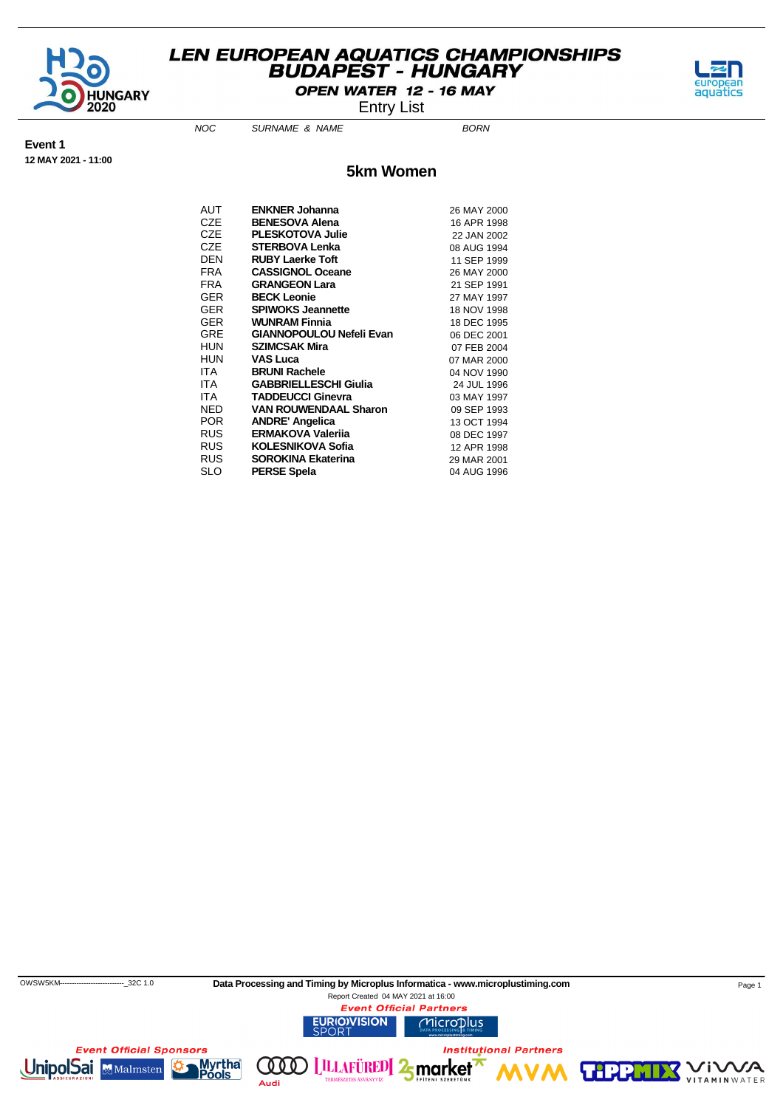

OPEN WATER 12 - 16 MAY

Entry List

aquatics

NOC SURNAME & NAME

**Event 1 12 MAY 2021 - 11:00**

#### **5km Women**

| AUT        | <b>ENKNER Johanna</b>           | 26 MAY 2000 |
|------------|---------------------------------|-------------|
| CZE        | <b>BENESOVA Alena</b>           | 16 APR 1998 |
| CZE        | <b>PLESKOTOVA Julie</b>         | 22 JAN 2002 |
| CZE        | <b>STERBOVA Lenka</b>           | 08 AUG 1994 |
| DEN        | <b>RUBY Laerke Toft</b>         | 11 SEP 1999 |
| FRA        | <b>CASSIGNOL Oceane</b>         | 26 MAY 2000 |
| FRA        | <b>GRANGEON Lara</b>            | 21 SEP 1991 |
| GER        | <b>BECK Leonie</b>              | 27 MAY 1997 |
| GER        | <b>SPIWOKS Jeannette</b>        | 18 NOV 1998 |
| GER        | <b>WUNRAM Finnia</b>            | 18 DEC 1995 |
| <b>GRE</b> | <b>GIANNOPOULOU Nefeli Evan</b> | 06 DEC 2001 |
| HUN        | <b>SZIMCSAK Mira</b>            | 07 FEB 2004 |
| HUN        | <b>VAS Luca</b>                 | 07 MAR 2000 |
| ITA.       | <b>BRUNI Rachele</b>            | 04 NOV 1990 |
| ITA        | <b>GABBRIELLESCHI Giulia</b>    | 24 JUL 1996 |
| ITA        | <b>TADDEUCCI Ginevra</b>        | 03 MAY 1997 |
| NED        | <b>VAN ROUWENDAAL Sharon</b>    | 09 SEP 1993 |
| POR        | <b>ANDRE' Angelica</b>          | 13 OCT 1994 |
| RUS        | <b>ERMAKOVA Valerija</b>        | 08 DEC 1997 |
| RUS        | <b>KOLESNIKOVA Sofia</b>        | 12 APR 1998 |
| RUS        | <b>SOROKINA Ekaterina</b>       | 29 MAR 2001 |
| SLO        | <b>PERSE Spela</b>              | 04 AUG 1996 |

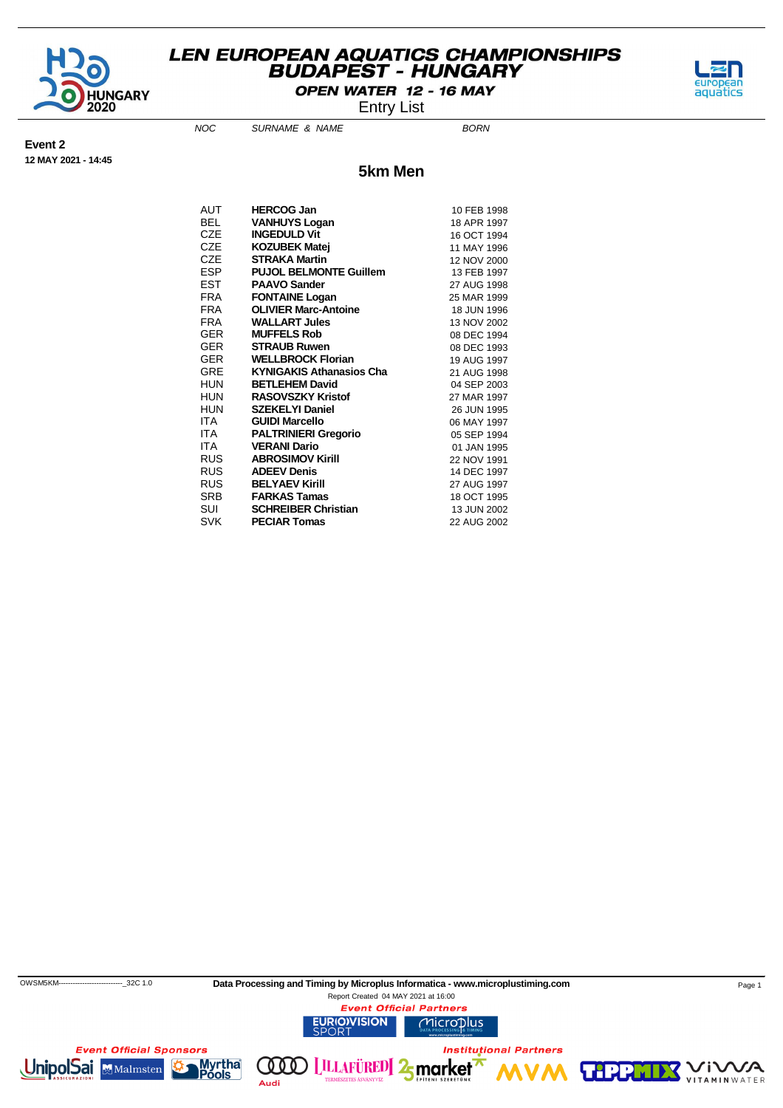

OPEN WATER 12 - 16 MAY

NOC SURNAME & NAME

Entry List



**12 MAY 2021 - 14:45**

**Event 2**

**5km Men**

| AUT        | <b>HERCOG Jan</b>               | 10 FEB 1998 |
|------------|---------------------------------|-------------|
| BEL.       | <b>VANHUYS Logan</b>            | 18 APR 1997 |
| CZE        | <b>INGEDULD Vit</b>             | 16 OCT 1994 |
| CZE        | <b>KOZUBEK Matej</b>            | 11 MAY 1996 |
| CZE        | <b>STRAKA Martin</b>            | 12 NOV 2000 |
| ESP        | <b>PUJOL BELMONTE Guillem</b>   | 13 FEB 1997 |
| EST        | <b>PAAVO Sander</b>             | 27 AUG 1998 |
| <b>FRA</b> | <b>FONTAINE Logan</b>           | 25 MAR 1999 |
| FRA        | <b>OLIVIER Marc-Antoine</b>     | 18 JUN 1996 |
| FRA        | <b>WALLART Jules</b>            | 13 NOV 2002 |
| GER        | <b>MUFFELS Rob</b>              | 08 DEC 1994 |
| GER        | <b>STRAUB Ruwen</b>             | 08 DEC 1993 |
| GER        | <b>WELLBROCK Florian</b>        | 19 AUG 1997 |
| GRE        | <b>KYNIGAKIS Athanasios Cha</b> | 21 AUG 1998 |
| HUN        | <b>BETLEHEM David</b>           | 04 SEP 2003 |
| HUN        | <b>RASOVSZKY Kristof</b>        | 27 MAR 1997 |
| HUN        | <b>SZEKELYI Daniel</b>          | 26 JUN 1995 |
| ITA        | <b>GUIDI Marcello</b>           | 06 MAY 1997 |
| ITA        | <b>PALTRINIERI Gregorio</b>     | 05 SEP 1994 |
| ITA        | <b>VERANI Dario</b>             | 01 JAN 1995 |
| RUS        | <b>ABROSIMOV Kirill</b>         | 22 NOV 1991 |
| <b>RUS</b> | <b>ADEEV Denis</b>              | 14 DEC 1997 |
| RUS        | <b>BELYAEV Kirill</b>           | 27 AUG 1997 |
| SRB        | <b>FARKAS Tamas</b>             | 18 OCT 1995 |
| SUI        | <b>SCHREIBER Christian</b>      | 13 JUN 2002 |
| SVK        | <b>PECIAR Tomas</b>             | 22 AUG 2002 |

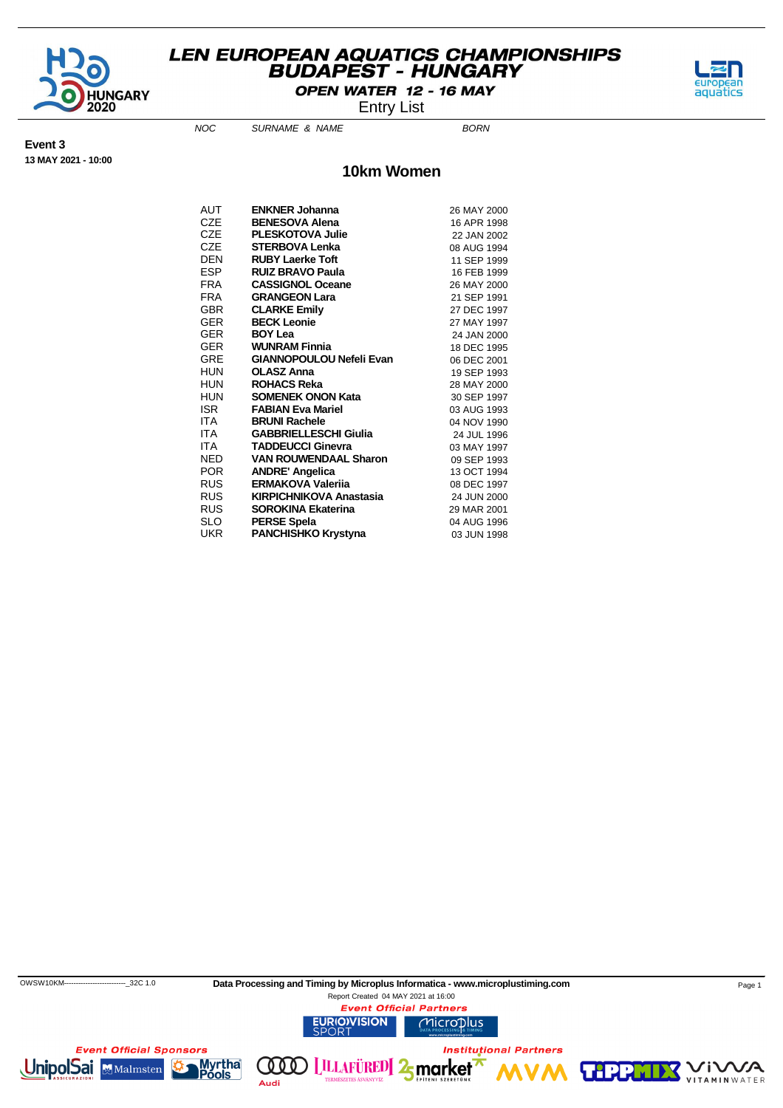

OPEN WATER 12 - 16 MAY

NOC SURNAME & NAME

Entry List



**Event 3**

**13 MAY 2021 - 10:00**

**10km Women**

| AUT        | <b>ENKNER Johanna</b>           | 26 MAY 2000 |
|------------|---------------------------------|-------------|
| CZE        | <b>BENESOVA Alena</b>           | 16 APR 1998 |
| CZE        | <b>PLESKOTOVA Julie</b>         | 22 JAN 2002 |
| CZE        | <b>STERBOVA Lenka</b>           | 08 AUG 1994 |
| DEN        | <b>RUBY Laerke Toft</b>         | 11 SEP 1999 |
| ESP        | <b>RUIZ BRAVO Paula</b>         | 16 FEB 1999 |
| FRA        | <b>CASSIGNOL Oceane</b>         | 26 MAY 2000 |
| FRA        | <b>GRANGEON Lara</b>            | 21 SEP 1991 |
| GBR        | <b>CLARKE Emily</b>             | 27 DEC 1997 |
| GER        | <b>BECK Leonie</b>              | 27 MAY 1997 |
| GER        | <b>BOY Lea</b>                  | 24 JAN 2000 |
| GER        | <b>WUNRAM Finnia</b>            | 18 DEC 1995 |
| GRE        | <b>GIANNOPOULOU Nefeli Evan</b> | 06 DEC 2001 |
| HUN        | <b>OLASZ Anna</b>               | 19 SEP 1993 |
| HUN        | <b>ROHACS Reka</b>              | 28 MAY 2000 |
| HUN        | <b>SOMENEK ONON Kata</b>        | 30 SEP 1997 |
| ISR        | <b>FABIAN Eva Mariel</b>        | 03 AUG 1993 |
| ITA        | <b>BRUNI Rachele</b>            | 04 NOV 1990 |
| ITA -      | <b>GABBRIELLESCHI Giulia</b>    | 24 JUL 1996 |
| ITA        | <b>TADDEUCCI Ginevra</b>        | 03 MAY 1997 |
| NED        | <b>VAN ROUWENDAAL Sharon</b>    | 09 SEP 1993 |
| POR        | <b>ANDRE' Angelica</b>          | 13 OCT 1994 |
| RUS        | <b>ERMAKOVA Valerija</b>        | 08 DEC 1997 |
| <b>RUS</b> | <b>KIRPICHNIKOVA Anastasia</b>  | 24 JUN 2000 |
| RUS        | <b>SOROKINA Ekaterina</b>       | 29 MAR 2001 |
| SLO        | <b>PERSE Spela</b>              | 04 AUG 1996 |
| UKR        | <b>PANCHISHKO Krystyna</b>      | 03 JUN 1998 |

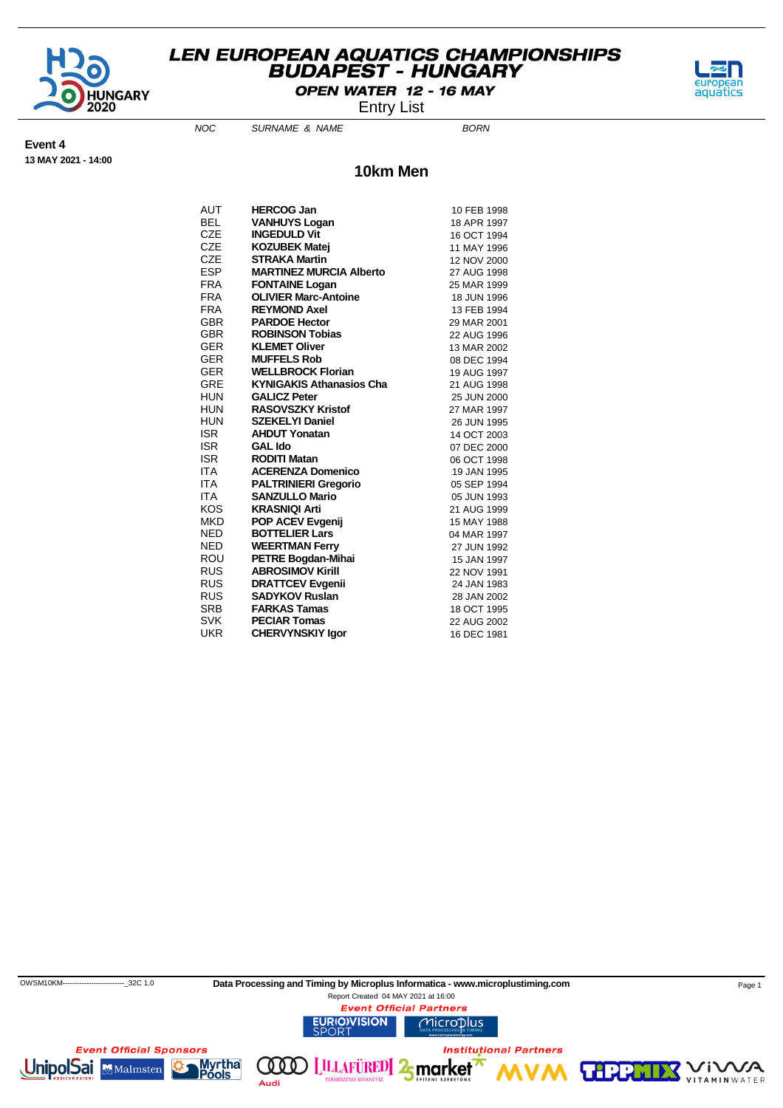

OPEN WATER 12 - 16 MAY

Entry List

aquatics

**VITAMIN** WATER

**Event 4 13 MAY 2021 - 14:00**

NOC SURNAME & NAME

# **10km Men**

| AUT        | <b>HERCOG Jan</b>               | 10 FEB 1998 |
|------------|---------------------------------|-------------|
| BEL        | <b>VANHUYS Logan</b>            | 18 APR 1997 |
| CZE        | <b>INGEDULD Vit</b>             | 16 OCT 1994 |
| CZE        | <b>KOZUBEK Matej</b>            | 11 MAY 1996 |
| CZE        | <b>STRAKA Martin</b>            | 12 NOV 2000 |
| ESP        | <b>MARTINEZ MURCIA Alberto</b>  | 27 AUG 1998 |
| <b>FRA</b> | <b>FONTAINE Logan</b>           | 25 MAR 1999 |
| <b>FRA</b> | <b>OLIVIER Marc-Antoine</b>     | 18 JUN 1996 |
| <b>FRA</b> | <b>REYMOND Axel</b>             | 13 FEB 1994 |
| GBR        | <b>PARDOE Hector</b>            | 29 MAR 2001 |
| GBR        | <b>ROBINSON Tobias</b>          | 22 AUG 1996 |
| GER        | <b>KLEMET Oliver</b>            | 13 MAR 2002 |
| GER        | <b>MUFFELS Rob</b>              | 08 DEC 1994 |
| GER        | <b>WELLBROCK Florian</b>        | 19 AUG 1997 |
| GRE        | <b>KYNIGAKIS Athanasios Cha</b> | 21 AUG 1998 |
| HUN        | <b>GALICZ Peter</b>             | 25 JUN 2000 |
| HUN        | <b>RASOVSZKY Kristof</b>        | 27 MAR 1997 |
| HUN        | <b>SZEKELYI Daniel</b>          | 26 JUN 1995 |
| <b>ISR</b> | <b>AHDUT Yonatan</b>            | 14 OCT 2003 |
| ISR.       | <b>GAL Ido</b>                  | 07 DEC 2000 |
| <b>ISR</b> | <b>RODITI Matan</b>             | 06 OCT 1998 |
| ITA        | <b>ACERENZA Domenico</b>        | 19 JAN 1995 |
| ITA        | <b>PALTRINIERI Gregorio</b>     | 05 SEP 1994 |
| ITA        | <b>SANZULLO Mario</b>           | 05 JUN 1993 |
| KOS        | <b>KRASNIQI Arti</b>            | 21 AUG 1999 |
| MKD        | <b>POP ACEV Evgenij</b>         | 15 MAY 1988 |
| NED        | <b>BOTTELIER Lars</b>           | 04 MAR 1997 |
| NED        | <b>WEERTMAN Ferry</b>           | 27 JUN 1992 |
| ROU        | <b>PETRE Bogdan-Mihai</b>       | 15 JAN 1997 |
| RUS        | <b>ABROSIMOV Kirill</b>         | 22 NOV 1991 |
| RUS        | <b>DRATTCEV Evgenii</b>         | 24 JAN 1983 |
| RUS        | <b>SADYKOV Ruslan</b>           | 28 JAN 2002 |
| SRB        | <b>FARKAS Tamas</b>             | 18 OCT 1995 |
| SVK        | <b>PECIAR Tomas</b>             | 22 AUG 2002 |
| UKR        | <b>CHERVYNSKIY laor</b>         | 16 DEC 1981 |

 OWSM10KM--------------------------\_32C 1.0 **Data Processing and Timing by Microplus Informatica - www.microplustiming.com** Page 1 Report Created 04 MAY 2021 at 16:00**Event Official Partners URIO)VISION** Microplus **Event Official Sponsors Institutional Partners** Myrtha<sup>®</sup><br>Pools **UnipolSai MMalmsten LILLAFÜRED** 2 market **VM**  $(100)$ **MWA TIPP** 

Audi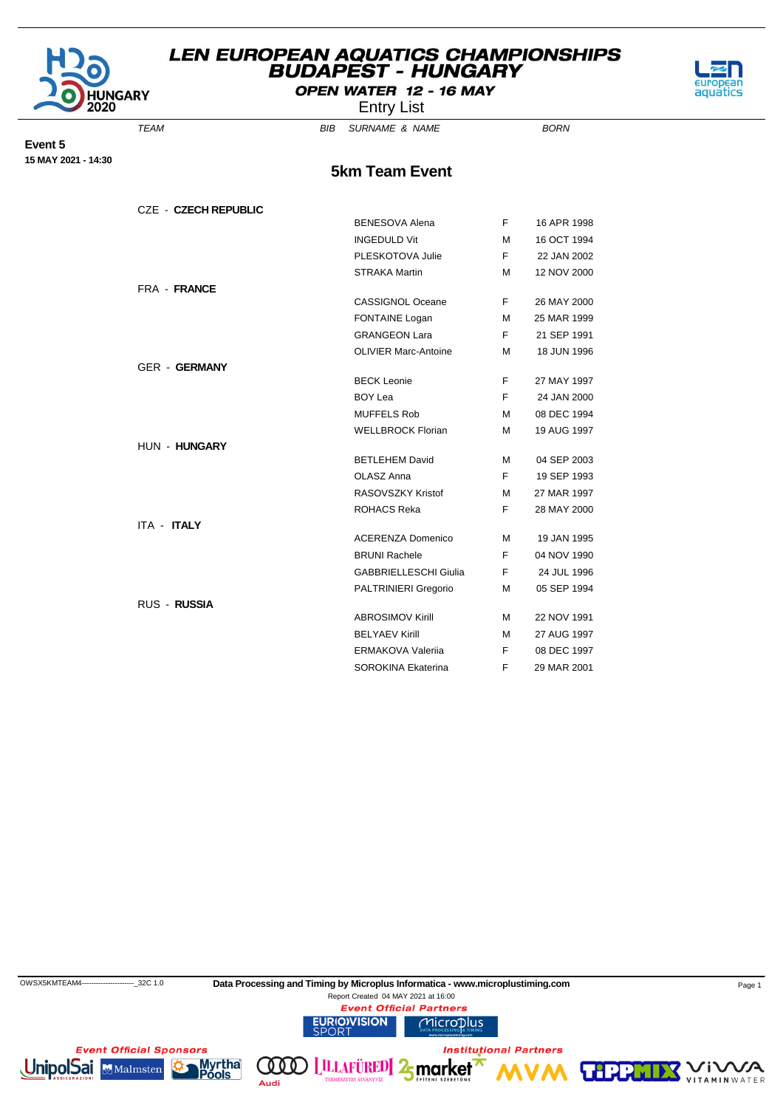

# OPEN WATER 12 - 16 MAY Entry List

TEAM BIB SURNAME & NAME

aquatics

**Event 5 15 MAY 2021 - 14:30**

**5km Team Event**

| <b>CZE - CZECH REPUBLIC</b> |                              |    |             |
|-----------------------------|------------------------------|----|-------------|
|                             | <b>BENESOVA Alena</b>        | F. | 16 APR 1998 |
|                             | <b>INGEDULD Vit</b>          | м  | 16 OCT 1994 |
|                             | PLESKOTOVA Julie             | F. | 22 JAN 2002 |
|                             | <b>STRAKA Martin</b>         | м  | 12 NOV 2000 |
| FRA - FRANCE                |                              |    |             |
|                             | <b>CASSIGNOL Oceane</b>      | F  | 26 MAY 2000 |
|                             | <b>FONTAINE Logan</b>        | м  | 25 MAR 1999 |
|                             | <b>GRANGEON Lara</b>         | F. | 21 SEP 1991 |
|                             | <b>OLIVIER Marc-Antoine</b>  | м  | 18 JUN 1996 |
| <b>GER - GERMANY</b>        |                              |    |             |
|                             | <b>BECK Leonie</b>           | F  | 27 MAY 1997 |
|                             | <b>BOY Lea</b>               | F. | 24 JAN 2000 |
|                             | <b>MUFFELS Rob</b>           | м  | 08 DEC 1994 |
|                             | <b>WELLBROCK Florian</b>     | м  | 19 AUG 1997 |
| HUN - HUNGARY               |                              |    |             |
|                             | <b>BETLEHEM David</b>        | м  | 04 SEP 2003 |
|                             | OLASZ Anna                   | F  | 19 SEP 1993 |
|                             | RASOVSZKY Kristof            | м  | 27 MAR 1997 |
|                             | <b>ROHACS Reka</b>           | F  | 28 MAY 2000 |
| <b>ITA - ITALY</b>          |                              |    |             |
|                             | <b>ACERENZA Domenico</b>     | м  | 19 JAN 1995 |
|                             | <b>BRUNI Rachele</b>         | F. | 04 NOV 1990 |
|                             | <b>GABBRIELLESCHI Giulia</b> | F. | 24 JUL 1996 |
|                             | <b>PALTRINIERI Gregorio</b>  | м  | 05 SEP 1994 |
| <b>RUS - RUSSIA</b>         |                              |    |             |
|                             | <b>ABROSIMOV Kirill</b>      | м  | 22 NOV 1991 |
|                             | <b>BELYAEV Kirill</b>        | м  | 27 AUG 1997 |
|                             | <b>ERMAKOVA Valerija</b>     | F. | 08 DEC 1997 |
|                             | SOROKINA Ekaterina           | F  | 29 MAR 2001 |

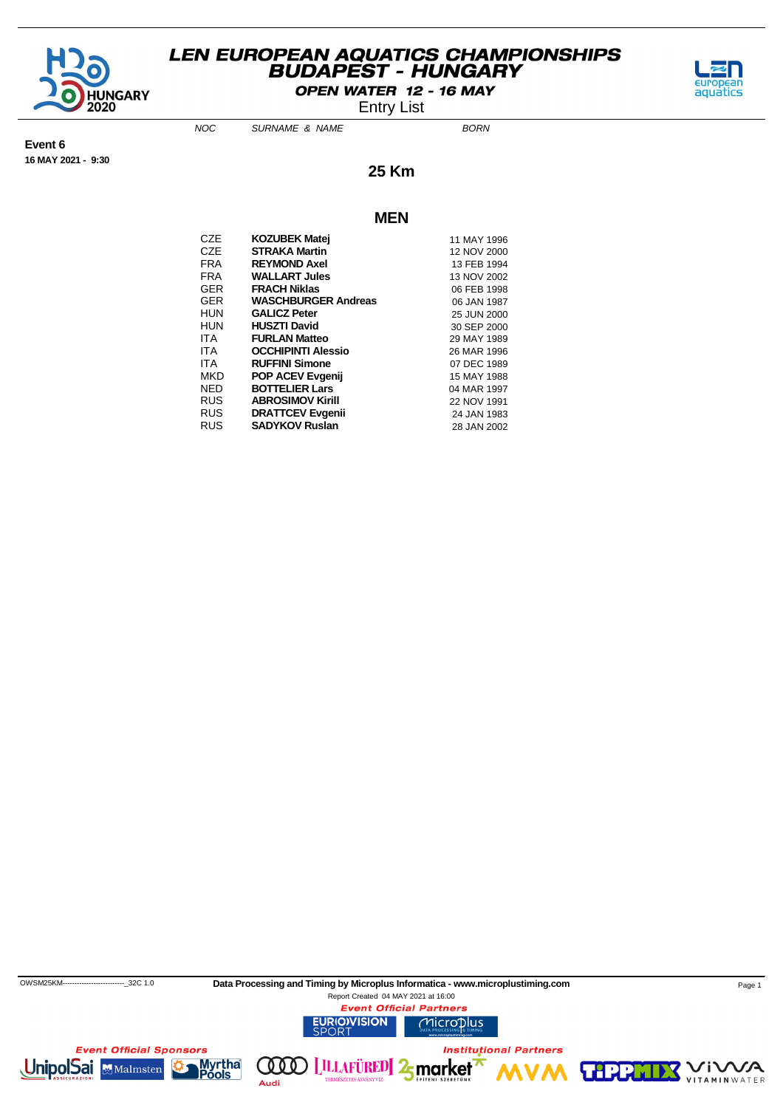

OPEN WATER 12 - 16 MAY

Entry List



**Event 6 16 MAY 2021 - 9:30** NOC SURNAME & NAME

**25 Km**

#### **MEN**

| CZE  | <b>KOZUBEK Matej</b>       | 11 MAY 1996 |
|------|----------------------------|-------------|
| CZE  | <b>STRAKA Martin</b>       | 12 NOV 2000 |
| FRA  | <b>REYMOND Axel</b>        | 13 FEB 1994 |
| FRA  | <b>WALLART Jules</b>       | 13 NOV 2002 |
| GER  | <b>FRACH Niklas</b>        | 06 FEB 1998 |
| GER  | <b>WASCHBURGER Andreas</b> | 06 JAN 1987 |
| HUN  | <b>GALICZ Peter</b>        | 25 JUN 2000 |
| HUN  | <b>HUSZTI David</b>        | 30 SEP 2000 |
| ITA. | <b>FURLAN Matteo</b>       | 29 MAY 1989 |
| ITA  | <b>OCCHIPINTI Alessio</b>  | 26 MAR 1996 |
| ITA  | <b>RUFFINI Simone</b>      | 07 DEC 1989 |
| MKD  | <b>POP ACEV Evgenij</b>    | 15 MAY 1988 |
| NED  | <b>BOTTELIER Lars</b>      | 04 MAR 1997 |
| RUS  | <b>ABROSIMOV Kirill</b>    | 22 NOV 1991 |
| RUS. | <b>DRATTCEV Evgenii</b>    | 24 JAN 1983 |
| RUS  | <b>SADYKOV Ruslan</b>      | 28 JAN 2002 |